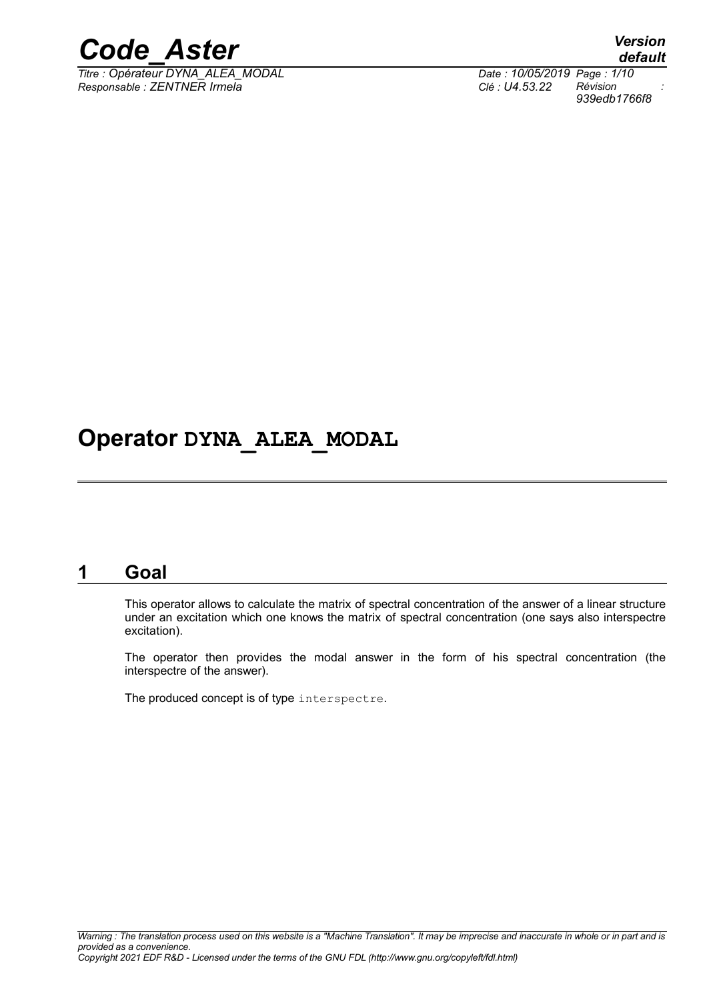

*Titre : Opérateur DYNA\_ALEA\_MODAL Date : 10/05/2019 Page : 1/10 Responsable : ZENTNER Irmela Clé : U4.53.22 Révision :*

*default 939edb1766f8*

## **Operator DYNA\_ALEA\_MODAL**

### **1 Goal**

This operator allows to calculate the matrix of spectral concentration of the answer of a linear structure under an excitation which one knows the matrix of spectral concentration (one says also interspectre excitation).

The operator then provides the modal answer in the form of his spectral concentration (the interspectre of the answer).

The produced concept is of type interspectre.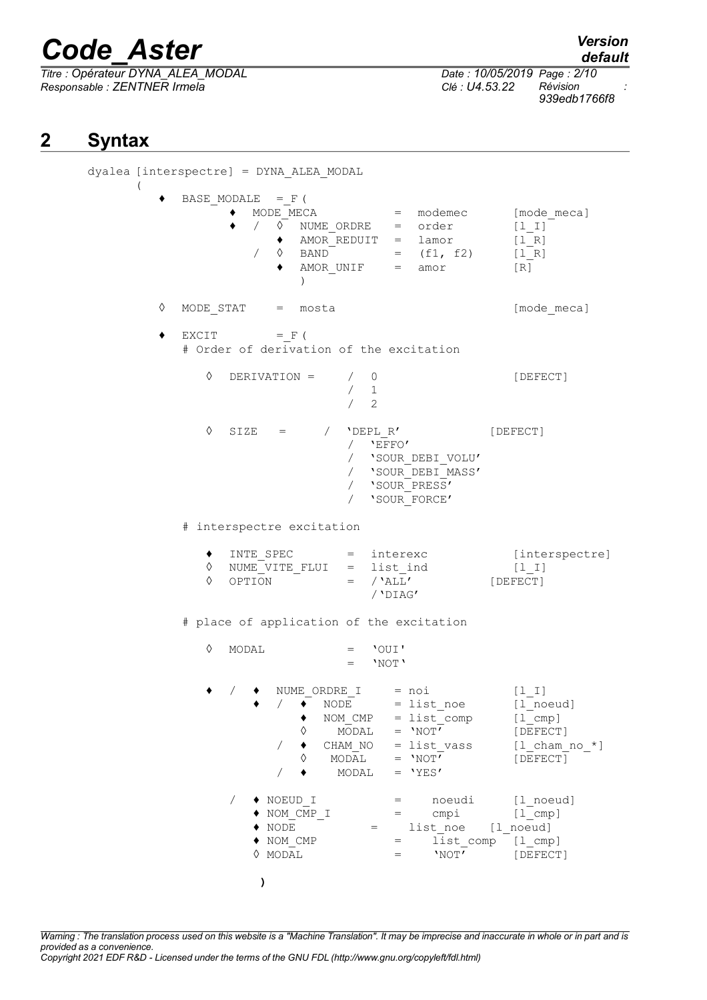*Titre : Opérateur DYNA\_ALEA\_MODAL Date : 10/05/2019 Page : 2/10 Responsable : ZENTNER Irmela Clé : U4.53.22 Révision :*

*939edb1766f8*

## **2 Syntax**

dyalea [interspectre] = DYNA\_ALEA\_MODAL ( BASE MODALE  $=$  F ( ♦ MODE\_MECA = modemec [mode\_meca] ♦ / ◊ NUME\_ORDRE = order [l\_I] ♦ AMOR\_REDUIT = lamor [l\_R]  $\begin{array}{cccc} \nearrow & \Diamond & \text{BAND}^- & = & (f1, f2) & [1_R] \ \spadesuit & \text{AMOR UNIF} & = & \text{amor} & [R] \end{array}$  $\triangleleft$  AMOR UNIF = amor [R]  $\lambda$ ◊ MODE\_STAT = mosta [mode\_meca]  $\bullet$  EXCIT = F ( # Order of derivation of the excitation  $\Diamond$  DERIVATION =  $/ 0$  [DEFECT] / 1  $/2$  $\Diamond$  SIZE = / 'DEPL R' [DEFECT]  $/$  'EFFO' / 'SOUR\_DEBI\_VOLU' / 'SOUR\_DEBI\_MASS' / 'SOUR\_PRESS' / 'SOUR\_FORCE' # interspectre excitation ♦ INTE\_SPEC = interexc [interspectre]  $\begin{array}{rcl}\n\lozenge & \text{NUME\_VITE\_FLUI} & = & \text{list\_ind} \\
\lozenge & \text{OPTION} & = & /`ALL'\n\end{array}$ [DEFECT]  $\Diamond$  OPTION = /'DIAG' # place of application of the excitation ◊ MODAL = 'OUI'  $=$  'NOT' ♦ / ♦ NUME\_ORDRE\_I = noi [l\_I]  $/$   $\rightarrow$  NODE = list noe [l\_noeud]  $\uparrow$  NOM\_CMP = list\_comp [l\_cmp]<br>  $\lozenge$  MODAL = 'NOT' [DEFECT  $\sqrt[3]{}$  MODAL = 'NOT' [DEFECT]<br>  $\sqrt[3]{}$  CHAM NO = list vass [1 cham no \*]  $\begin{array}{rcl} \sqrt{\phantom{000}\phantom{000}} & \text{CHAM} \text{NO} & = \text{list} \text{vass} \\ \& \text{MODAL} & = \text{'NOT'} \end{array}$  $\Diamond$  MODAL = 'NOT' [DEFECT]  $/ \bullet$  MODAL = 'YES' / ♦ NOEUD\_I = noeudi [l\_noeud]  $\begin{array}{rcl}\n\text{\textbullet} & \text{NOM\_CMP\_I} \\
\text{\textbullet} & \text{NODE} & = & \text{Cmpi} \\
\text{\textbullet} & \text{NODE} & = & \text{list, noe} \\
\end{array}$  $\begin{array}{rcl}\n\bullet \text{ NODE} \\
\bullet \text{ NODE} \\
\bullet \text{ NON} \text{CMP} \\
\bullet \text{ NON} \text{ CAP} \\
\end{array} = \begin{array}{rcl}\n\text{List} \text{none} & [1 \text{noneud}] \\
\text{list} \text{comp} & [1 \text{cmu}] \\
\end{array}$  $=$   $\sqrt{15}$   $\sqrt{15}$   $\sqrt{15}$   $\sqrt{15}$   $\sqrt{15}$   $\sqrt{15}$   $\sqrt{15}$  $\Diamond$  MODAL  $=$  'NOT' [DEFECT] **)**

*Warning : The translation process used on this website is a "Machine Translation". It may be imprecise and inaccurate in whole or in part and is provided as a convenience. Copyright 2021 EDF R&D - Licensed under the terms of the GNU FDL (http://www.gnu.org/copyleft/fdl.html)*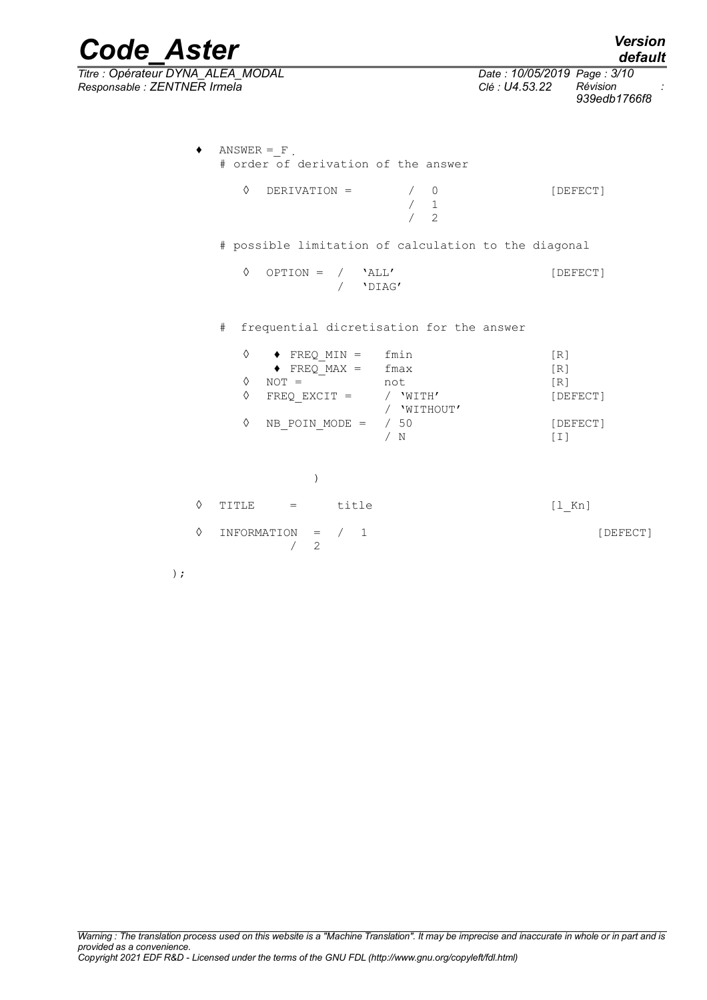| <b>Code Aster</b>                                                                                                                                                                           | <b>Version</b><br>default                                                |
|---------------------------------------------------------------------------------------------------------------------------------------------------------------------------------------------|--------------------------------------------------------------------------|
| Titre : Opérateur DYNA_ALEA_MODAL<br>Responsable : ZENTNER Irmela                                                                                                                           | Date: 10/05/2019 Page: 3/10<br>Révision<br>Clé: U4.53.22<br>939edb1766f8 |
| $ANSWER = F$<br># order of derivation of the answer                                                                                                                                         |                                                                          |
| ♦<br>DERIVATION =<br>0<br>$\mathbf{1}$<br>$\overline{c}$                                                                                                                                    | [DEFECT]                                                                 |
| # possible limitation of calculation to the diagonal                                                                                                                                        |                                                                          |
| ♦<br>$OPTION =$<br>'ALL'<br>$\sqrt{2}$<br>$\sqrt{2}$<br>'DIAG'                                                                                                                              | [DEFECT]                                                                 |
| #<br>frequential dicretisation for the answer                                                                                                                                               |                                                                          |
| ♦<br>fmin<br>$\blacklozenge$ FREQ MIN =<br>$\blacklozenge$ FREQ MAX =<br>fmax<br>♦<br>$NOT =$<br>not<br>♦<br>$FREQ EXCIT =$<br>/ 'WITH'<br>/ 'WITHOUT'<br>♦<br>/50<br>NB POIN MODE =<br>/ N | [R]<br>[R]<br>[R]<br>[DEFECT]<br>[DEFECT]<br>$\lceil 1 \rceil$           |
| $\lambda$                                                                                                                                                                                   |                                                                          |
| ♦<br>title<br>TITLE<br>$=$                                                                                                                                                                  | $[1$ Kn]                                                                 |
| ♦<br>INFORMATION<br>1<br>$\sqrt{2}$<br>$=$<br>2                                                                                                                                             | [DEFECT]                                                                 |

);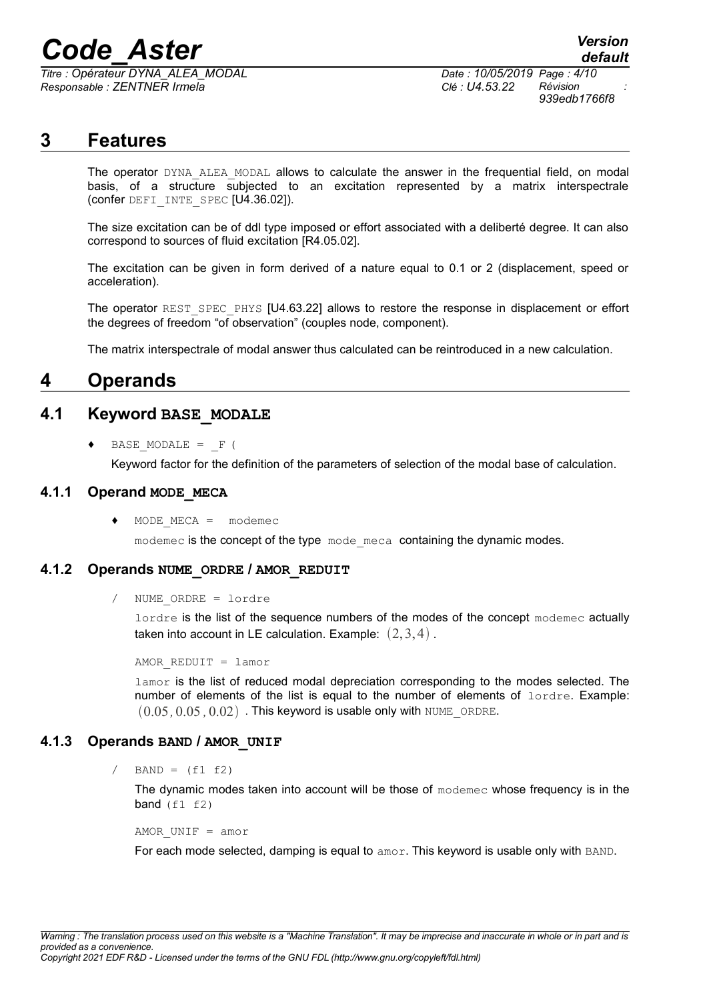*Titre : Opérateur DYNA\_ALEA\_MODAL Date : 10/05/2019 Page : 4/10 Responsable : ZENTNER Irmela Clé : U4.53.22 Révision :*

*939edb1766f8*

### **3 Features**

The operator DYNA ALEA MODAL allows to calculate the answer in the frequential field, on modal basis, of a structure subjected to an excitation represented by a matrix interspectrale (confer DEFI\_INTE\_SPEC [U4.36.02]).

The size excitation can be of ddl type imposed or effort associated with a deliberté degree. It can also correspond to sources of fluid excitation [R4.05.02].

The excitation can be given in form derived of a nature equal to 0.1 or 2 (displacement, speed or acceleration).

The operator REST\_SPEC\_PHYS [U4.63.22] allows to restore the response in displacement or effort the degrees of freedom "of observation" (couples node, component).

The matrix interspectrale of modal answer thus calculated can be reintroduced in a new calculation.

### **4 Operands**

#### **4.1 Keyword BASE\_MODALE**

BASE MODALE =  $F$  (

Keyword factor for the definition of the parameters of selection of the modal base of calculation.

#### **4.1.1 Operand MODE\_MECA**

 $MODE$  MECA = modemec

modemec is the concept of the type mode meca containing the dynamic modes.

#### **4.1.2 Operands NUME\_ORDRE / AMOR\_REDUIT**

/ NUME\_ORDRE = lordre

lordre is the list of the sequence numbers of the modes of the concept modemec actually taken into account in LE calculation. Example:  $(2,3,4)$ .

AMOR\_REDUIT = lamor

lamor is the list of reduced modal depreciation corresponding to the modes selected. The number of elements of the list is equal to the number of elements of lordre. Example:  $(0.05, 0.05, 0.02)$ . This keyword is usable only with NUME\_ORDRE.

#### **4.1.3 Operands BAND / AMOR\_UNIF**

 $BAND = (f1 f2)$ 

The dynamic modes taken into account will be those of modemec whose frequency is in the band  $(f1 f2)$ 

AMOR  $UNIF = amor$ 

For each mode selected, damping is equal to amor. This keyword is usable only with BAND.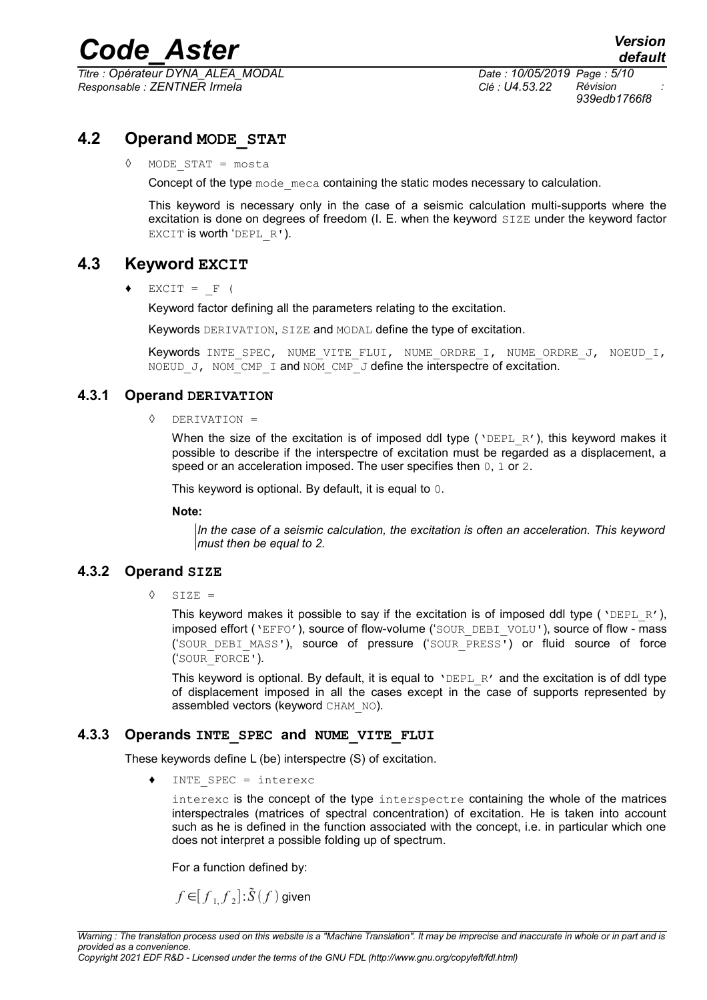*Titre : Opérateur DYNA\_ALEA\_MODAL Date : 10/05/2019 Page : 5/10 Responsable : ZENTNER Irmela Clé : U4.53.22 Révision :*

*939edb1766f8*

#### **4.2 Operand MODE\_STAT**

◊ MODE\_STAT = mosta

Concept of the type mode meca containing the static modes necessary to calculation.

This keyword is necessary only in the case of a seismic calculation multi-supports where the excitation is done on degrees of freedom (I. E. when the keyword SIZE under the keyword factor EXCIT is worth 'DEPL R').

#### **4.3 Keyword EXCIT**

 $EXCIT = F ($ 

Keyword factor defining all the parameters relating to the excitation.

Keywords DERIVATION, SIZE and MODAL define the type of excitation.

Keywords INTE SPEC, NUME VITE FLUI, NUME ORDRE I, NUME ORDRE J, NOEUD I, NOEUD J, NOM CMP I and NOM CMP J define the interspectre of excitation.

#### **4.3.1 Operand DERIVATION**

◊ DERIVATION =

When the size of the excitation is of imposed ddl type ( $VDEPL R'$ ), this keyword makes it possible to describe if the interspectre of excitation must be regarded as a displacement, a speed or an acceleration imposed. The user specifies then 0, 1 or 2.

This keyword is optional. By default, it is equal to 0.

**Note:**

*In the case of a seismic calculation, the excitation is often an acceleration. This keyword must then be equal to 2.*

#### **4.3.2 Operand SIZE**

 $\Diamond$  STZE =

This keyword makes it possible to say if the excitation is of imposed ddl type ( $VDEPL_R$ '), imposed effort ('EFFO'), source of flow-volume ('SOUR\_DEBI\_VOLU'), source of flow - mass ('SOUR\_DEBI\_MASS'), source of pressure ('SOUR\_PRESS') or fluid source of force ('SOUR\_FORCE').

This keyword is optional. By default, it is equal to  $\Delta EPEL - R'$  and the excitation is of ddl type of displacement imposed in all the cases except in the case of supports represented by assembled vectors (keyword CHAM\_NO).

#### **4.3.3 Operands INTE\_SPEC and NUME\_VITE\_FLUI**

These keywords define L (be) interspectre (S) of excitation.

INTE SPEC =  $interexc$ 

interexc is the concept of the type interspectre containing the whole of the matrices interspectrales (matrices of spectral concentration) of excitation. He is taken into account such as he is defined in the function associated with the concept, i.e. in particular which one does not interpret a possible folding up of spectrum.

For a function defined by:

$$
f\!\in\!\! \big[f_{1\!,f}\!\,f_{2}\big]\!:\!\!\tilde{S}(f)\,\mathsf{given}
$$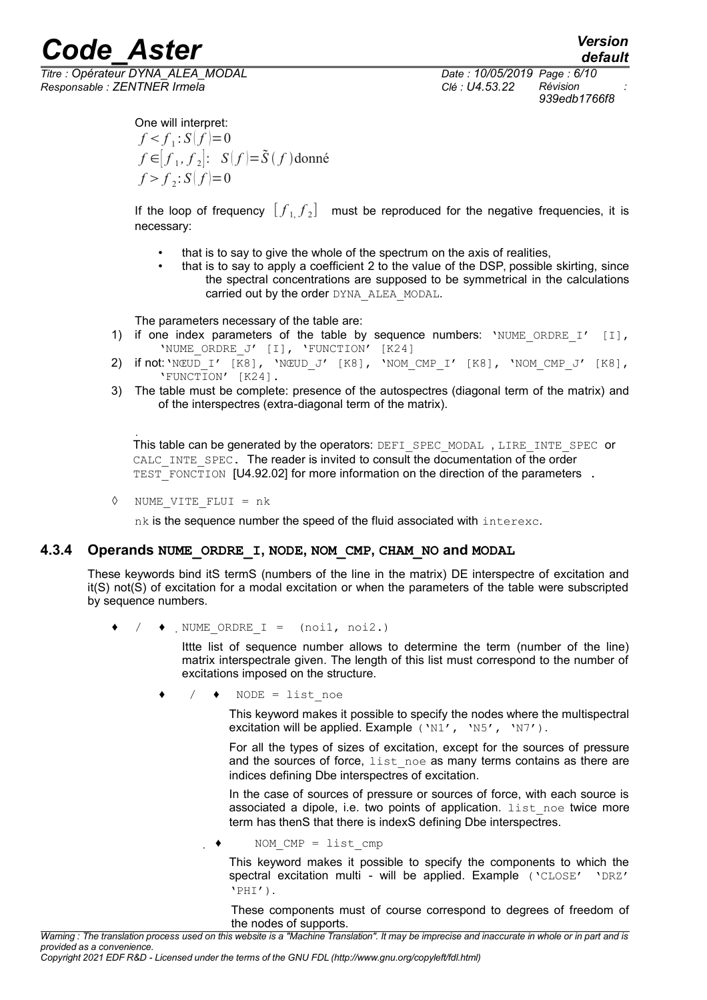*Titre : Opérateur DYNA\_ALEA\_MODAL Date : 10/05/2019 Page : 6/10 Responsable : ZENTNER Irmela Clé : U4.53.22 Révision :*

*default 939edb1766f8*

One will interpret:  $f < f_1 : S(f) = 0$ *f* ∈  $[f_1, f_2]$ : *S*  $(f) = \tilde{S}(f)$  donné  $f > f_2$ :  $S(f)=0$ 

If the loop of frequency  $[f_{1,}f_{2}]$  must be reproduced for the negative frequencies, it is necessary:

- that is to say to give the whole of the spectrum on the axis of realities,
	- that is to say to apply a coefficient 2 to the value of the DSP, possible skirting, since the spectral concentrations are supposed to be symmetrical in the calculations carried out by the order DYNA\_ALEA\_MODAL.

The parameters necessary of the table are:

- 1) if one index parameters of the table by sequence numbers: 'NUME ORDRE I'  $[1]$ , 'NUME ORDRE J' [I], 'FUNCTION' [K24]
- 2) if not:'NŒUD\_I' [K8], 'NŒUD\_J' [K8], 'NOM\_CMP\_I' [K8], 'NOM\_CMP\_J' [K8], 'FUNCTION' [K24].
- 3) The table must be complete: presence of the autospectres (diagonal term of the matrix) and of the interspectres (extra-diagonal term of the matrix).

 $\ddot{\phantom{a}}$ This table can be generated by the operators: DEFI\_SPEC\_MODAL, LIRE\_INTE\_SPEC or CALC\_INTE\_SPEC. The reader is invited to consult the documentation of the order TEST\_FONCTION [U4.92.02] for more information on the direction of the parameters .

◊ NUME\_VITE\_FLUI = nk

nk is the sequence number the speed of the fluid associated with interexc.

#### **4.3.4 Operands NUME\_ORDRE\_I, NODE, NOM\_CMP, CHAM\_NO and MODAL**

These keywords bind itS termS (numbers of the line in the matrix) DE interspectre of excitation and it(S) not(S) of excitation for a modal excitation or when the parameters of the table were subscripted by sequence numbers.

 $\bullet$  /  $\bullet$  NUME ORDRE I = (noi1, noi2.)

Ittte list of sequence number allows to determine the term (number of the line) matrix interspectrale given. The length of this list must correspond to the number of excitations imposed on the structure.

 $/ \rightarrow$  NODE = list noe

This keyword makes it possible to specify the nodes where the multispectral excitation will be applied. Example ('N1', 'N5', 'N7').

For all the types of sizes of excitation, except for the sources of pressure and the sources of force, list noe as many terms contains as there are indices defining Dbe interspectres of excitation.

In the case of sources of pressure or sources of force, with each source is associated a dipole, i.e. two points of application. list noe twice more term has thenS that there is indexS defining Dbe interspectres.

NOM  $CMP = list comp$ 

This keyword makes it possible to specify the components to which the spectral excitation multi - will be applied. Example ('CLOSE' 'DRZ' 'PHI').

These components must of course correspond to degrees of freedom of the nodes of supports.

*Warning : The translation process used on this website is a "Machine Translation". It may be imprecise and inaccurate in whole or in part and is provided as a convenience.*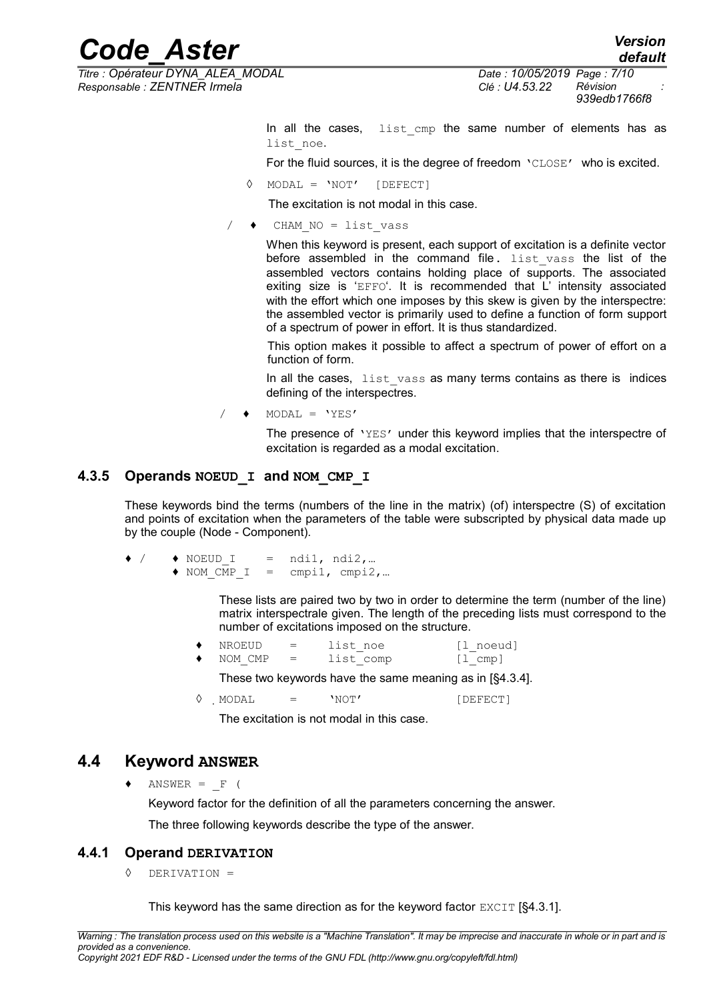*Titre : Opérateur DYNA\_ALEA\_MODAL Date : 10/05/2019 Page : 7/10 Responsable : ZENTNER Irmela Clé : U4.53.22 Révision :*

*939edb1766f8*

In all the cases, list cmp the same number of elements has as list noe.

For the fluid sources, it is the degree of freedom 'CLOSE' who is excited.

 $MODAL = 'NOT'$  [DEFECT]

The excitation is not modal in this case.

 $CHAM NO = list vass$ 

When this keyword is present, each support of excitation is a definite vector before assembled in the command file.  $list$  vass the list of the assembled vectors contains holding place of supports. The associated exiting size is 'EFFO'. It is recommended that L' intensity associated with the effort which one imposes by this skew is given by the interspectre: the assembled vector is primarily used to define a function of form support of a spectrum of power in effort. It is thus standardized.

This option makes it possible to affect a spectrum of power of effort on a function of form.

In all the cases, list vass as many terms contains as there is indices defining of the interspectres.

 $\triangleleft$  MODAL = 'YES'

The presence of 'YES' under this keyword implies that the interspectre of excitation is regarded as a modal excitation.

#### **4.3.5 Operands NOEUD\_I and NOM\_CMP\_I**

These keywords bind the terms (numbers of the line in the matrix) (of) interspectre (S) of excitation and points of excitation when the parameters of the table were subscripted by physical data made up by the couple (Node - Component).

- $\bullet$  /  $\bullet$  NOEUD I = ndi1, ndi2,...
	- ♦ NOM\_CMP\_I = cmpi1, cmpi2,…

These lists are paired two by two in order to determine the term (number of the line) matrix interspectrale given. The length of the preceding lists must correspond to the number of excitations imposed on the structure.

| NROEUD  | = | list noe  | [l noeud]                       |
|---------|---|-----------|---------------------------------|
| NOM CMP | = | list comp | $\lceil 1 \text{ comp } \rceil$ |

These two keywords have the same meaning as in [§4.3.4].

 $\Diamond$  MODAL = 'NOT' [DEFECT]

The excitation is not modal in this case.

#### **4.4 Keyword ANSWER**

 $ANSWER = F ($ 

Keyword factor for the definition of all the parameters concerning the answer.

The three following keywords describe the type of the answer.

#### **4.4.1 Operand DERIVATION**

◊ DERIVATION =

This keyword has the same direction as for the keyword factor  $EXCIT$  [§4.3.1].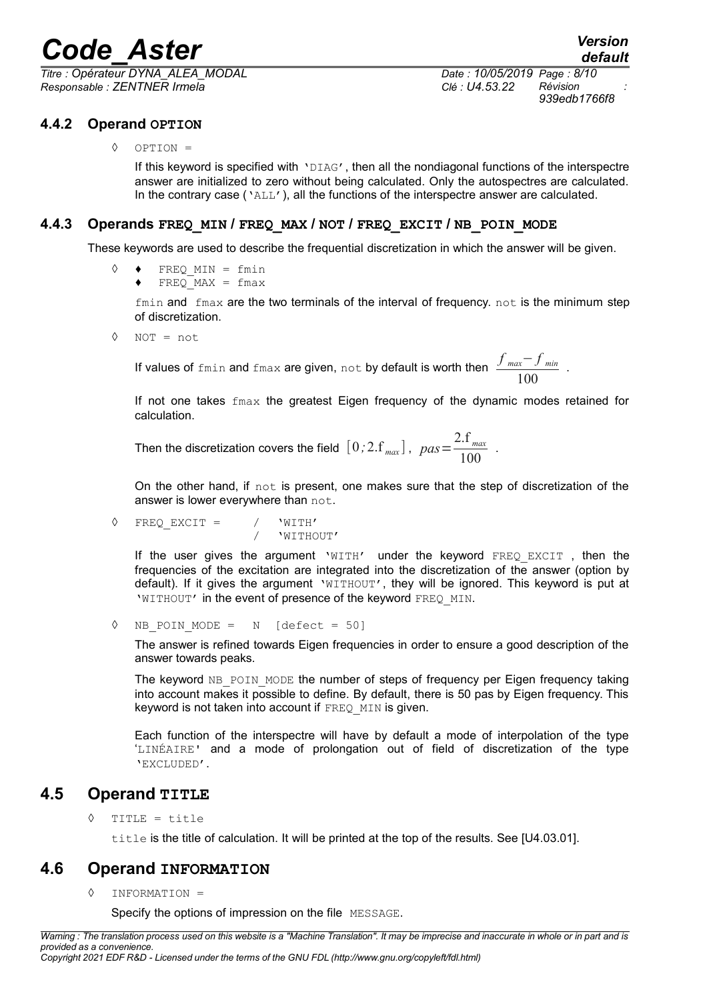*Titre : Opérateur DYNA\_ALEA\_MODAL Date : 10/05/2019 Page : 8/10 Responsable : ZENTNER Irmela Clé : U4.53.22 Révision :*

#### **4.4.2 Operand OPTION**

◊ OPTION =

If this keyword is specified with 'DIAG', then all the nondiagonal functions of the interspectre answer are initialized to zero without being calculated. Only the autospectres are calculated. In the contrary case ('ALL'), all the functions of the interspectre answer are calculated.

#### **4.4.3 Operands FREQ\_MIN / FREQ\_MAX / NOT / FREQ\_EXCIT / NB\_POIN\_MODE**

These keywords are used to describe the frequential discretization in which the answer will be given.

- ◊ ♦ FREQ\_MIN = fmin
	- $\blacklozenge$  FREQ MAX = fmax

 $f$ min and  $f$ max are the two terminals of the interval of frequency. not is the minimum step of discretization.

◊ NOT = not

If values of fmin and fmax are given, not by default is worth then *f max*− *f min* 100

If not one takes  $f_{\text{max}}$  the greatest Eigen frequency of the dynamic modes retained for calculation.

Then the discretization covers the field  $[0, 2.1, \frac{2.5}{max}]$ ,  $pas = \frac{2.5}{100}$  $\frac{100}{100}$ .

On the other hand, if not is present, one makes sure that the step of discretization of the answer is lower everywhere than not.

$$
\Diamond \quad \text{FREQ\_EXCIT} = / \quad \text{'WITH'} \newline / \quad \text{'WITHOUT'}
$$

If the user gives the argument  $WITH'$  under the keyword FREQ EXCIT, then the frequencies of the excitation are integrated into the discretization of the answer (option by default). If it gives the argument 'WITHOUT', they will be ignored. This keyword is put at 'WITHOUT' in the event of presence of the keyword FREQ MIN.

◊ NB\_POIN\_MODE = N [defect = 50]

The answer is refined towards Eigen frequencies in order to ensure a good description of the answer towards peaks.

The keyword NB POIN MODE the number of steps of frequency per Eigen frequency taking into account makes it possible to define. By default, there is 50 pas by Eigen frequency. This keyword is not taken into account if FREQ MIN is given.

Each function of the interspectre will have by default a mode of interpolation of the type 'LINÉAIRE' and a mode of prolongation out of field of discretization of the type 'EXCLUDED'.

#### **4.5 Operand TITLE**

◊ TITLE = title

title is the title of calculation. It will be printed at the top of the results. See [U4.03.01].

#### **4.6 Operand INFORMATION**

◊ INFORMATION =

Specify the options of impression on the file MESSAGE.

*939edb1766f8*

.

*Warning : The translation process used on this website is a "Machine Translation". It may be imprecise and inaccurate in whole or in part and is provided as a convenience.*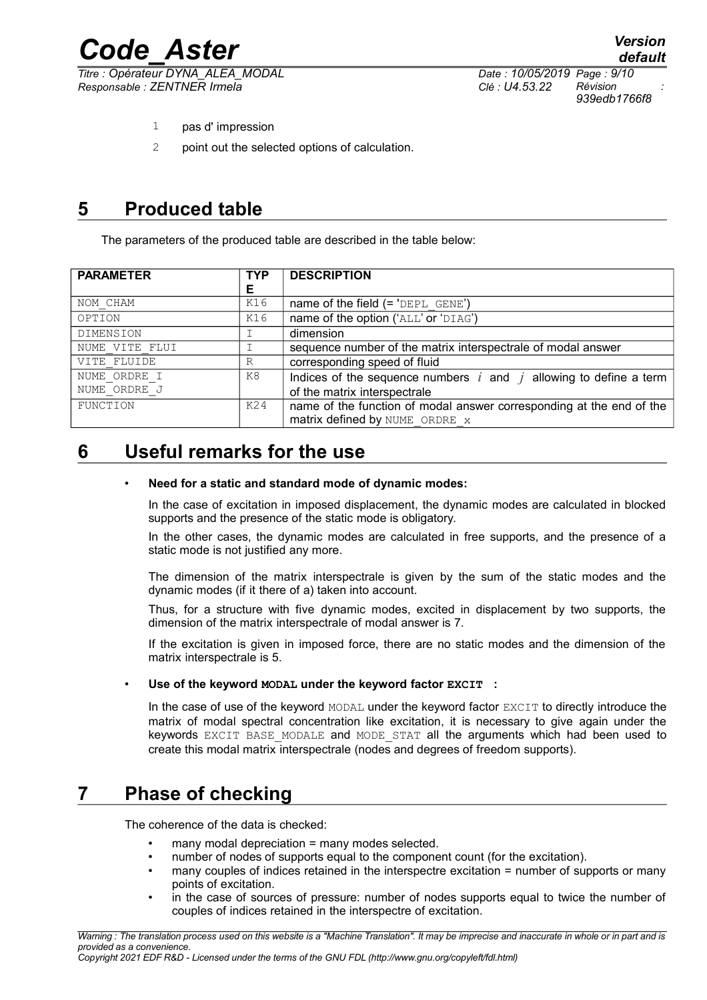*Titre : Opérateur DYNA\_ALEA\_MODAL Date : 10/05/2019 Page : 9/10 Responsable : ZENTNER Irmela Clé : U4.53.22 Révision :*

*Code\_Aster Version default 939edb1766f8*

- 1 pas d' impression
- 2 point out the selected options of calculation.

## **5 Produced table**

The parameters of the produced table are described in the table below:

| <b>PARAMETER</b> | <b>TYP</b><br>Е | <b>DESCRIPTION</b>                                                                                     |  |
|------------------|-----------------|--------------------------------------------------------------------------------------------------------|--|
| NOM CHAM         | K16             |                                                                                                        |  |
| OPTION           | K16             | name of the option ('ALL' or 'DIAG')                                                                   |  |
| DIMENSION        |                 | dimension                                                                                              |  |
| NUME VITE FLUI   | Ι               | sequence number of the matrix interspectrale of modal answer                                           |  |
| VITE FLUIDE      | R               | corresponding speed of fluid                                                                           |  |
| NUME ORDRE I     | K8              | Indices of the sequence numbers $i$ and $j$ allowing to define a term                                  |  |
| NUME ORDRE J     |                 | of the matrix interspectrale                                                                           |  |
| FUNCTION         | K24             | name of the function of modal answer corresponding at the end of the<br>matrix defined by NUME ORDRE x |  |

### **6 Useful remarks for the use**

#### • **Need for a static and standard mode of dynamic modes:**

In the case of excitation in imposed displacement, the dynamic modes are calculated in blocked supports and the presence of the static mode is obligatory.

In the other cases, the dynamic modes are calculated in free supports, and the presence of a static mode is not justified any more.

The dimension of the matrix interspectrale is given by the sum of the static modes and the dynamic modes (if it there of a) taken into account.

Thus, for a structure with five dynamic modes, excited in displacement by two supports, the dimension of the matrix interspectrale of modal answer is 7.

If the excitation is given in imposed force, there are no static modes and the dimension of the matrix interspectrale is 5.

#### • **Use of the keyword MODAL under the keyword factor EXCIT :**

In the case of use of the keyword MODAL under the keyword factor EXCIT to directly introduce the matrix of modal spectral concentration like excitation, it is necessary to give again under the keywords EXCIT BASE MODALE and MODE STAT all the arguments which had been used to create this modal matrix interspectrale (nodes and degrees of freedom supports).

### **7 Phase of checking**

The coherence of the data is checked:

- many modal depreciation = many modes selected.
- number of nodes of supports equal to the component count (for the excitation).
- many couples of indices retained in the interspectre excitation = number of supports or many points of excitation.
- in the case of sources of pressure: number of nodes supports equal to twice the number of couples of indices retained in the interspectre of excitation.

*Copyright 2021 EDF R&D - Licensed under the terms of the GNU FDL (http://www.gnu.org/copyleft/fdl.html)*